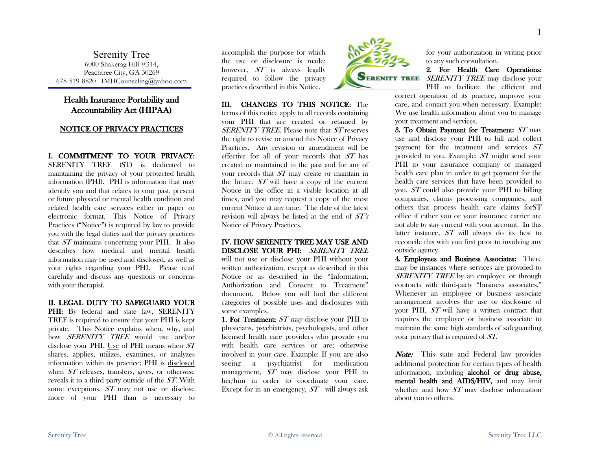Serenity Tree 6000 Shakerag Hill #314, Peachtree City, GA 30269 678-519-8820 IMHCounseling@yahoo.com

# Health Insurance Portability and Accountability Act (HIPAA)

## NOTICE OF PRIVACY PRACTICES

I. COMMITMENT TO YOUR PRIVACY: SERENITY TREE (ST) is dedicated to maintaining the privacy of your protected health information (PHI). PHI is information that may identify you and that relates to your past, present or future physical or mental health condition and related health care services either in paper or electronic format. This Notice of Privacy Practices ("Notice") is required by law to provide you with the legal duties and the privacy practices that ST maintains concerning your PHI. It also describes how medical and mental health information may be used and disclosed, as well as your rights regarding your PHI. Please read carefully and discuss any questions or concerns with your therapist.

### II. LEGAL DUTY TO SAFEGUARD YOUR

PHI: By federal and state law, SERENITY TREE is required to ensure that your PHI is kept private. This Notice explains when, why, and how SERENITY TREE would use and/or disclose your PHI. Use of PHI means when  $ST$ shares, applies, utilizes, examines, or analyzes information within its practice; PHI is disclosed when ST releases, transfers, gives, or otherwise reveals it to a third party outside of the ST. With some exceptions, ST may not use or disclose more of your PHI than is necessary to

accomplish the purpose for which the use or disclosure is made; however,  $ST$  is always legally required to follow the privacy practices described in this Notice.

III. CHANGES TO THIS NOTICE: The terms of this notice apply to all records containing your PHI that are created or retained by SERENITY TREE. Please note that ST reserves the right to revise or amend this Notice of Privacy Practices. Any revision or amendment will be effective for all of your records that ST has created or maintained in the past and for any of your records that ST may create or maintain in the future. ST will have a copy of the current Notice in the office in a visible location at all times, and you may request a copy of the most current Notice at any time. The date of the latest revision will always be listed at the end of ST's Notice of Privacy Practices.

IV. HOW SERENITY TREE MAY USE AND DISCLOSE YOUR PHI: SERENITY TREE will not use or disclose your PHI without your written authorization, except as described in this Notice or as described in the "Information, Authorization and Consent to Treatment" document. Below you will find the different categories of possible uses and disclosures with some examples.

1. For Treatment:  $ST$  may disclose your PHI to physicians, psychiatrists, psychologists, and other licensed health care providers who provide you with health care services or are; otherwise involved in your care. Example: If you are also seeing a psychiatrist for medication management, ST may disclose your PHI to her/him in order to coordinate your care. Except for in an emergency,  $ST$  will always ask



for your authorization in writing prior to any such consultation.

2. For Health Care Operations: SERENITY TREE may disclose your PHI to facilitate the efficient and

correct operation of its practice, improve your care, and contact you when necessary. Example: We use health information about you to manage your treatment and services.

3. To Obtain Payment for Treatment: ST may use and disclose your PHI to bill and collect payment for the treatment and services ST provided to you. Example: ST might send your PHI to your insurance company or managed health care plan in order to get payment for the health care services that have been provided to you. ST could also provide your PHI to billing companies, claims processing companies, and others that process health care claims forST office if either you or your insurance carrier are not able to stay current with your account. In this latter instance, ST will always do its best to reconcile this with you first prior to involving any outside agency.

4. Employees and Business Associates: There may be instances where services are provided to SERENITY TREE by an employee or through contracts with third-party "business associates." Whenever an employee or business associate arrangement involves the use or disclosure of your PHI, ST will have a written contract that requires the employee or business associate to maintain the same high standards of safeguarding your privacy that is required of ST.

Note: This state and Federal law provides additional protection for certain types of health information, including alcohol or drug abuse, mental health and AIDS/HIV, and may limit whether and how  $ST$  may disclose information about you to others.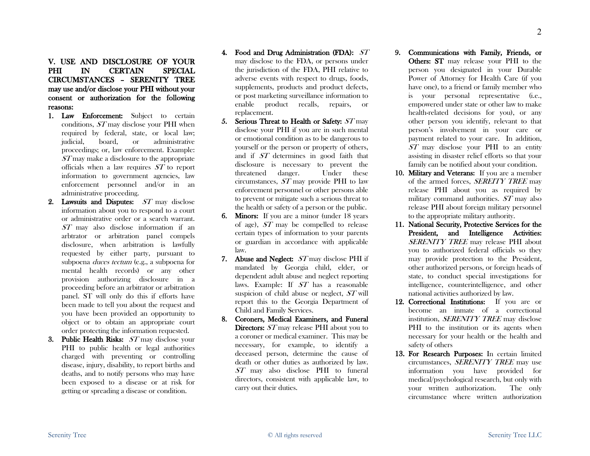## V. USE AND DISCLOSURE OF YOUR PHI IN CERTAIN SPECIAL CIRCUMSTANCES – SERENITY TREE may use and/or disclose your PHI without your consent or authorization for the following reasons:

- 1. Law Enforcement: Subject to certain conditions, ST may disclose your PHI when required by federal, state, or local law; judicial, board, or administrative proceedings; or, law enforcement. Example: ST may make a disclosure to the appropriate officials when a law requires ST to report information to government agencies, law enforcement personnel and/or in an administrative proceeding.
- 2. Lawsuits and Disputes:  $ST$  may disclose information about you to respond to a court or administrative order or a search warrant. ST may also disclose information if an arbtrator or arbitration panel compels disclosure, when arbitration is lawfully requested by either party, pursuant to subpoena duces tectum (e.g., a subpoena for mental health records) or any other provision authorizing disclosure in a proceeding before an arbitrator or arbitration panel. ST will only do this if efforts have been made to tell you about the request and you have been provided an opportunity to object or to obtain an appropriate court order protecting the information requested.
- 3. Public Health Risks:  $ST$  may disclose your PHI to public health or legal authorities charged with preventing or controlling disease, injury, disability, to report births and deaths, and to notify persons who may have been exposed to a disease or at risk for getting or spreading a disease or condition.
- 4. Food and Drug Administration (FDA): ST may disclose to the FDA, or persons under the jurisdiction of the FDA, PHI relative to adverse events with respect to drugs, foods, supplements, products and product defects, or post marketing surveillance information to enable product recalls, repairs, or replacement.
- 5. Serious Threat to Health or Safety:  $ST$  may disclose your PHI if you are in such mental or emotional condition as to be dangerous to yourself or the person or property of others, and if ST determines in good faith that disclosure is necessary to prevent the threatened danger. Under these circumstances, ST may provide PHI to law enforcement personnel or other persons able to prevent or mitigate such a serious threat to the health or safety of a person or the public.
- 6. Minors: If you are a minor (under 18 years of age), ST may be compelled to release certain types of information to your parents or guardian in accordance with applicable law.
- 7. Abuse and Neglect:  $ST$  may disclose PHI if mandated by Georgia child, elder, or dependent adult abuse and neglect reporting laws. Example: If ST has a reasonable suspicion of child abuse or neglect,  $ST$  will report this to the Georgia Department of Child and Family Services.
- 8. Coroners, Medical Examiners, and Funeral Directors:  $ST$  may release PHI about you to a coroner or medical examiner. This may be necessary, for example, to identify a deceased person, determine the cause of death or other duties as authorized by law. ST may also disclose PHI to funeral directors, consistent with applicable law, to carry out their duties.
- 9. Communications with Family, Friends, or Others: ST may release your PHI to the person you designated in your Durable Power of Attorney for Health Care (if you have one), to a friend or family member who is your personal representative (i.e., empowered under state or other law to make health-related decisions for you), or any other person you identify, relevant to that person's involvement in your care or payment related to your care. In addition, ST may disclose your PHI to an entity assisting in disaster relief efforts so that your family can be notified about your condition.
- 10. Military and Veterans: If you are a member of the armed forces, SEREITY TREE may release PHI about you as required by military command authorities. ST may also release PHI about foreign military personnel to the appropriate military authority.
- 11. National Security, Protective Services for the President, and Intelligence Activities: SERENITY TREE may release PHI about you to authorized federal officials so they may provide protection to the President, other authorized persons, or foreign heads of state, to conduct special investigations for intelligence, counterintelligence, and other national activities authorized by law.
- 12. Correctional Institutions: If you are or become an inmate of a correctional institution, SERENITY TREE may disclose PHI to the institution or its agents when necessary for your health or the health and safety of others
- 13. For Research Purposes: In certain limited circumstances, SERENITY TREE may use information you have provided for medical/psychological research, but only with your written authorization. The only circumstance where written authorization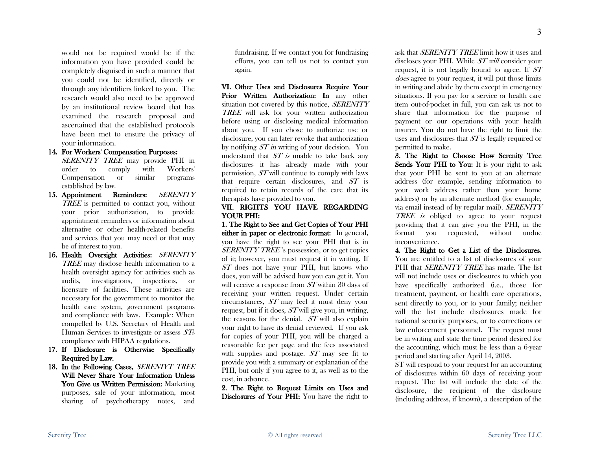would not be required would be if the information you have provided could be completely disguised in such a manner that you could not be identified, directly or through any identifiers linked to you. The research would also need to be approved by an institutional review board that has examined the research proposal and ascertained that the established protocols have been met to ensure the privacy of your information.

### 14. For Workers' Compensation Purposes:

SERENITY TREE may provide PHI in order to comply with Workers' Compensation or similar programs established by law.

- 15. Appointment Reminders: SERENITY TREE is permitted to contact you, without your prior authorization, to provide appointment reminders or information about alternative or other health-related benefits and services that you may need or that may be of interest to you.
- 16. Health Oversight Activities: SERENITY TREE may disclose health information to a health oversight agency for activities such as audits, investigations, inspections, or licensure of facilities. These activities are necessary for the government to monitor the health care system, government programs and compliance with laws. Example: When compelled by U.S. Secretary of Health and Human Services to investigate or assess STs compliance with HIPAA regulations.
- 17. If Disclosure is Otherwise Specifically Required by Law.
- 18. In the Following Cases, SERENIYT TREE Will Never Share Your Information Unless You Give us Written Permission: Marketing purposes, sale of your information, most sharing of psychotherapy notes, and

fundraising. If we contact you for fundraising efforts, you can tell us not to contact you again.

VI. Other Uses and Disclosures Require Your Prior Written Authorization: In any other situation not covered by this notice, *SERENITY* TREE will ask for your written authorization before using or disclosing medical information about you. If you chose to authorize use or disclosure, you can later revoke that authorization by notifying  $ST$  in writing of your decision. You understand that  $ST$  is unable to take back any disclosures it has already made with your permission, ST will continue to comply with laws that require certain disclosures, and  $ST$  is required to retain records of the care that its therapists have provided to you.

#### VII. RIGHTS YOU HAVE REGARDING YOUR PHI:

1. The Right to See and Get Copies of Your PHI either in paper or electronic format: In general, you have the right to see your PHI that is in SERENITY TREE's possession, or to get copies of it; however, you must request it in writing. If ST does not have your PHI, but knows who does, you will be advised how you can get it. You will receive a response from  $ST$  within 30 days of receiving your written request. Under certain circumstances, ST may feel it must deny your request, but if it does, ST will give you, in writing, the reasons for the denial. ST will also explain your right to have its denial reviewed. If you ask for copies of your PHI, you will be charged a reasonable fee per page and the fees associated with supplies and postage. ST may see fit to provide you with a summary or explanation of the PHI, but only if you agree to it, as well as to the cost, in advance.

2. The Right to Request Limits on Uses and Disclosures of Your PHI: You have the right to ask that *SERENITY TREE* limit how it uses and discloses your PHI. While ST will consider your request, it is not legally bound to agree. If ST does agree to your request, it will put those limits in writing and abide by them except in emergency situations. If you pay for a service or health care item out-of-pocket in full, you can ask us not to share that information for the purpose of payment or our operations with your health insurer. You do not have the right to limit the uses and disclosures that *ST* is legally required or permitted to make.

3. The Right to Choose How Serenity Tree Sends Your PHI to You: It is your right to ask that your PHI be sent to you at an alternate address (for example, sending information to your work address rather than your home address) or by an alternate method (for example, via email instead of by regular mail). SERENITY TREE is obliged to agree to your request providing that it can give you the PHI, in the format you requested, without undue inconvenience.

4. The Right to Get a List of the Disclosures. You are entitled to a list of disclosures of your PHI that *SERENITY TREE* has made. The list will not include uses or disclosures to which you have specifically authorized (i.e., those for treatment, payment, or health care operations, sent directly to you, or to your family; neither will the list include disclosures made for national security purposes, or to corrections or law enforcement personnel. The request must be in writing and state the time period desired for the accounting, which must be less than a 6-year period and starting after April 14, 2003.

ST will respond to your request for an accounting of disclosures within 60 days of receiving your request. The list will include the date of the disclosure, the recipient of the disclosure (including address, if known), a description of the